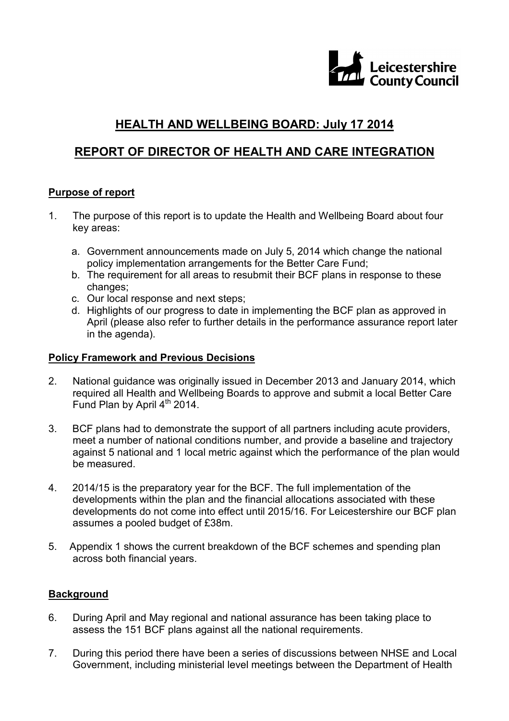

# **HEALTH AND WELLBEING BOARD: July 17 2014**

## **REPORT OF DIRECTOR OF HEALTH AND CARE INTEGRATION**

### **Purpose of report**

- 1. The purpose of this report is to update the Health and Wellbeing Board about four key areas:
	- a. Government announcements made on July 5, 2014 which change the national policy implementation arrangements for the Better Care Fund;
	- b. The requirement for all areas to resubmit their BCF plans in response to these changes;
	- c. Our local response and next steps;
	- d. Highlights of our progress to date in implementing the BCF plan as approved in April (please also refer to further details in the performance assurance report later in the agenda).

#### **Policy Framework and Previous Decisions**

- 2. National guidance was originally issued in December 2013 and January 2014, which required all Health and Wellbeing Boards to approve and submit a local Better Care Fund Plan by April 4<sup>th</sup> 2014.
- 3. BCF plans had to demonstrate the support of all partners including acute providers, meet a number of national conditions number, and provide a baseline and trajectory against 5 national and 1 local metric against which the performance of the plan would be measured.
- 4. 2014/15 is the preparatory year for the BCF. The full implementation of the developments within the plan and the financial allocations associated with these developments do not come into effect until 2015/16. For Leicestershire our BCF plan assumes a pooled budget of £38m.
- 5. Appendix 1 shows the current breakdown of the BCF schemes and spending plan across both financial years.

#### **Background**

- 6. During April and May regional and national assurance has been taking place to assess the 151 BCF plans against all the national requirements.
- 7. During this period there have been a series of discussions between NHSE and Local Government, including ministerial level meetings between the Department of Health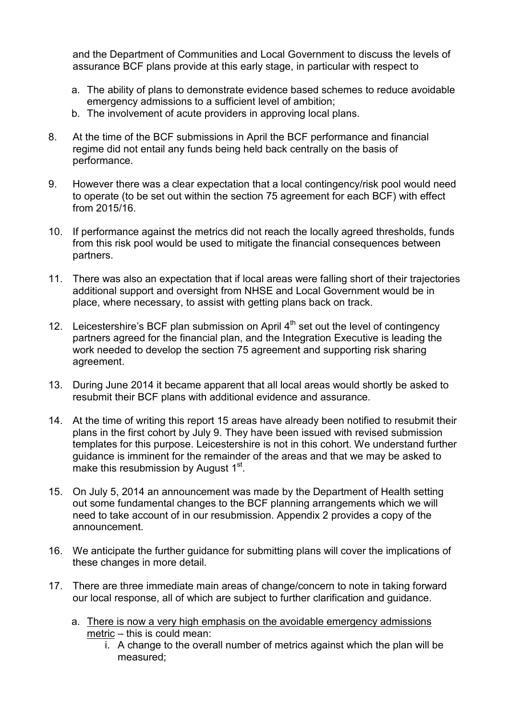and the Department of Communities and Local Government to discuss the levels of assurance BCF plans provide at this early stage, in particular with respect to

- a. The ability of plans to demonstrate evidence based schemes to reduce avoidable emergency admissions to a sufficient level of ambition;
- b. The involvement of acute providers in approving local plans.
- 8. At the time of the BCF submissions in April the BCF performance and financial regime did not entail any funds being held back centrally on the basis of performance.
- 9. However there was a clear expectation that a local contingency/risk pool would need to operate (to be set out within the section 75 agreement for each BCF) with effect from 2015/16.
- 10. If performance against the metrics did not reach the locally agreed thresholds, funds from this risk pool would be used to mitigate the financial consequences between partners.
- 11. There was also an expectation that if local areas were falling short of their trajectories additional support and oversight from NHSE and Local Government would be in place, where necessary, to assist with getting plans back on track.
- 12. Leicestershire's BCF plan submission on April  $4<sup>th</sup>$  set out the level of contingency partners agreed for the financial plan, and the Integration Executive is leading the work needed to develop the section 75 agreement and supporting risk sharing agreement.
- 13. During June 2014 it became apparent that all local areas would shortly be asked to resubmit their BCF plans with additional evidence and assurance.
- 14. At the time of writing this report 15 areas have already been notified to resubmit their plans in the first cohort by July 9. They have been issued with revised submission templates for this purpose. Leicestershire is not in this cohort. We understand further guidance is imminent for the remainder of the areas and that we may be asked to make this resubmission by August 1st.
- 15. On July 5, 2014 an announcement was made by the Department of Health setting out some fundamental changes to the BCF planning arrangements which we will need to take account of in our resubmission. Appendix 2 provides a copy of the announcement.
- 16. We anticipate the further guidance for submitting plans will cover the implications of these changes in more detail.
- 17. There are three immediate main areas of change/concern to note in taking forward our local response, all of which are subject to further clarification and guidance.
	- a. There is now a very high emphasis on the avoidable emergency admissions metric – this is could mean:
		- i. A change to the overall number of metrics against which the plan will be measured;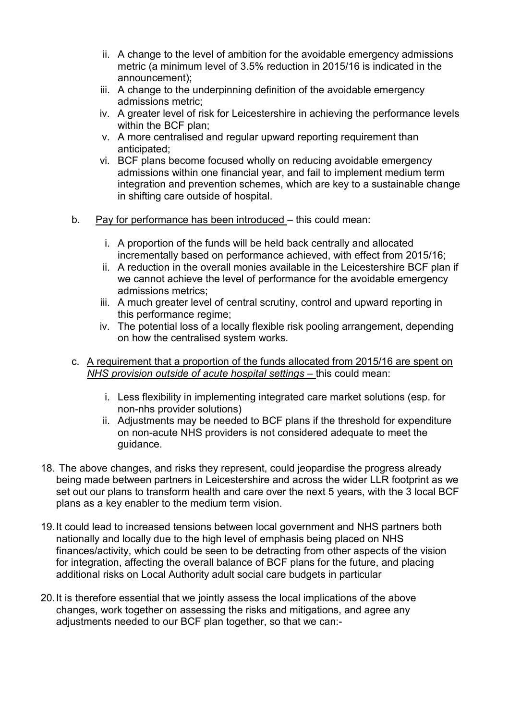- ii. A change to the level of ambition for the avoidable emergency admissions metric (a minimum level of 3.5% reduction in 2015/16 is indicated in the announcement);
- iii. A change to the underpinning definition of the avoidable emergency admissions metric;
- iv. A greater level of risk for Leicestershire in achieving the performance levels within the BCF plan;
- v. A more centralised and regular upward reporting requirement than anticipated;
- vi. BCF plans become focused wholly on reducing avoidable emergency admissions within one financial year, and fail to implement medium term integration and prevention schemes, which are key to a sustainable change in shifting care outside of hospital.
- b. Pay for performance has been introduced this could mean:
	- i. A proportion of the funds will be held back centrally and allocated incrementally based on performance achieved, with effect from 2015/16;
	- ii. A reduction in the overall monies available in the Leicestershire BCF plan if we cannot achieve the level of performance for the avoidable emergency admissions metrics;
	- iii. A much greater level of central scrutiny, control and upward reporting in this performance regime;
	- iv. The potential loss of a locally flexible risk pooling arrangement, depending on how the centralised system works.
- c. A requirement that a proportion of the funds allocated from 2015/16 are spent on *NHS provision outside of acute hospital settings* – this could mean:
	- i. Less flexibility in implementing integrated care market solutions (esp. for non-nhs provider solutions)
	- ii. Adjustments may be needed to BCF plans if the threshold for expenditure on non-acute NHS providers is not considered adequate to meet the guidance.
- 18. The above changes, and risks they represent, could jeopardise the progress already being made between partners in Leicestershire and across the wider LLR footprint as we set out our plans to transform health and care over the next 5 years, with the 3 local BCF plans as a key enabler to the medium term vision.
- 19. It could lead to increased tensions between local government and NHS partners both nationally and locally due to the high level of emphasis being placed on NHS finances/activity, which could be seen to be detracting from other aspects of the vision for integration, affecting the overall balance of BCF plans for the future, and placing additional risks on Local Authority adult social care budgets in particular
- 20. It is therefore essential that we jointly assess the local implications of the above changes, work together on assessing the risks and mitigations, and agree any adjustments needed to our BCF plan together, so that we can:-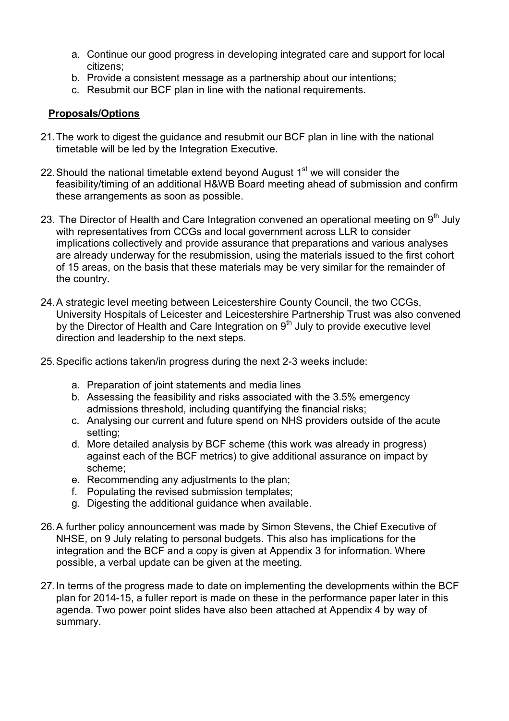- a. Continue our good progress in developing integrated care and support for local citizens;
- b. Provide a consistent message as a partnership about our intentions;
- c. Resubmit our BCF plan in line with the national requirements.

## **Proposals/Options**

- 21. The work to digest the guidance and resubmit our BCF plan in line with the national timetable will be led by the Integration Executive.
- 22. Should the national timetable extend beyond August  $1<sup>st</sup>$  we will consider the feasibility/timing of an additional H&WB Board meeting ahead of submission and confirm these arrangements as soon as possible.
- 23. The Director of Health and Care Integration convened an operational meeting on  $9<sup>th</sup>$  July with representatives from CCGs and local government across LLR to consider implications collectively and provide assurance that preparations and various analyses are already underway for the resubmission, using the materials issued to the first cohort of 15 areas, on the basis that these materials may be very similar for the remainder of the country.
- 24. A strategic level meeting between Leicestershire County Council, the two CCGs, University Hospitals of Leicester and Leicestershire Partnership Trust was also convened by the Director of Health and Care Integration on  $9<sup>th</sup>$  July to provide executive level direction and leadership to the next steps.
- 25. Specific actions taken/in progress during the next 2-3 weeks include:
	- a. Preparation of joint statements and media lines
	- b. Assessing the feasibility and risks associated with the 3.5% emergency admissions threshold, including quantifying the financial risks;
	- c. Analysing our current and future spend on NHS providers outside of the acute setting;
	- d. More detailed analysis by BCF scheme (this work was already in progress) against each of the BCF metrics) to give additional assurance on impact by scheme;
	- e. Recommending any adjustments to the plan;
	- f. Populating the revised submission templates;
	- g. Digesting the additional guidance when available.
- 26. A further policy announcement was made by Simon Stevens, the Chief Executive of NHSE, on 9 July relating to personal budgets. This also has implications for the integration and the BCF and a copy is given at Appendix 3 for information. Where possible, a verbal update can be given at the meeting.
- 27. In terms of the progress made to date on implementing the developments within the BCF plan for 2014-15, a fuller report is made on these in the performance paper later in this agenda. Two power point slides have also been attached at Appendix 4 by way of summary.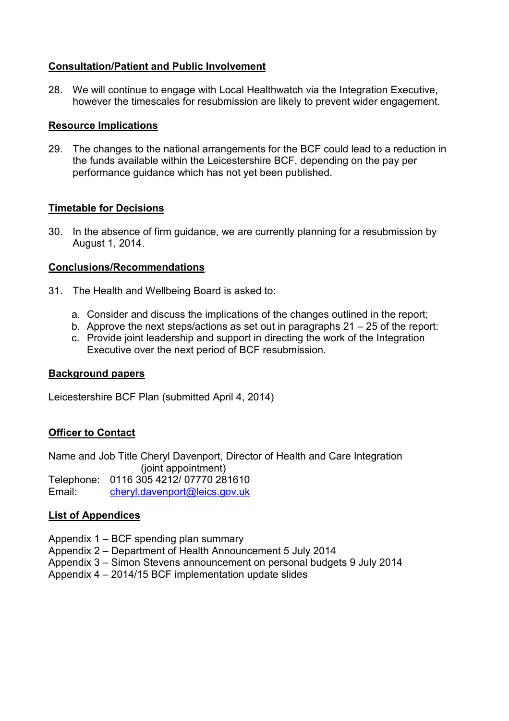### **Consultation/Patient and Public Involvement**

28. We will continue to engage with Local Healthwatch via the Integration Executive, however the timescales for resubmission are likely to prevent wider engagement.

#### **Resource Implications**

29. The changes to the national arrangements for the BCF could lead to a reduction in the funds available within the Leicestershire BCF, depending on the pay per performance guidance which has not yet been published.

### **Timetable for Decisions**

30. In the absence of firm guidance, we are currently planning for a resubmission by August 1, 2014.

### **Conclusions/Recommendations**

- 31. The Health and Wellbeing Board is asked to:
	- a. Consider and discuss the implications of the changes outlined in the report;
	- b. Approve the next steps/actions as set out in paragraphs 21 25 of the report:
	- c. Provide joint leadership and support in directing the work of the Integration Executive over the next period of BCF resubmission.

#### **Background papers**

Leicestershire BCF Plan (submitted April 4, 2014)

#### **Officer to Contact**

Name and Job Title Cheryl Davenport, Director of Health and Care Integration (joint appointment) Telephone: 0116 305 4212/ 07770 281610 Email: cheryl.davenport@leics.gov.uk

## **List of Appendices**

- Appendix 1 BCF spending plan summary
- Appendix 2 Department of Health Announcement 5 July 2014
- Appendix 3 Simon Stevens announcement on personal budgets 9 July 2014
- Appendix 4 2014/15 BCF implementation update slides